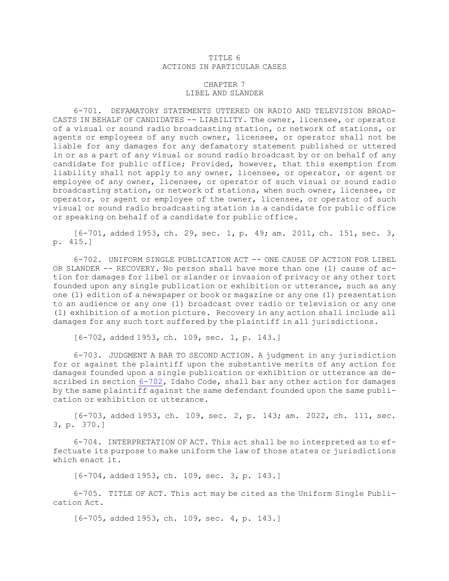## TITLE 6 ACTIONS IN PARTICULAR CASES

## CHAPTER 7 LIBEL AND SLANDER

6-701. DEFAMATORY STATEMENTS UTTERED ON RADIO AND TELEVISION BROAD-CASTS IN BEHALF OF CANDIDATES -- LIABILITY. The owner, licensee, or operator of <sup>a</sup> visual or sound radio broadcasting station, or network of stations, or agents or employees of any such owner, licensee, or operator shall not be liable for any damages for any defamatory statement published or uttered in or as <sup>a</sup> part of any visual or sound radio broadcast by or on behalf of any candidate for public office; Provided, however, that this exemption from liability shall not apply to any owner, licensee, or operator, or agent or employee of any owner, licensee, or operator of such visual or sound radio broadcasting station, or network of stations, when such owner, licensee, or operator, or agent or employee of the owner, licensee, or operator of such visual or sound radio broadcasting station is <sup>a</sup> candidate for public office or speaking on behalf of <sup>a</sup> candidate for public office.

[6-701, added 1953, ch. 29, sec. 1, p. 49; am. 2011, ch. 151, sec. 3, p. 415.]

6-702. UNIFORM SINGLE PUBLICATION ACT -- ONE CAUSE OF ACTION FOR LIBEL OR SLANDER -- RECOVERY. No person shall have more than one (1) cause of action for damages for libel or slander or invasion of privacy or any other tort founded upon any single publication or exhibition or utterance, such as any one (1) edition of <sup>a</sup> newspaper or book or magazine or any one (1) presentation to an audience or any one (1) broadcast over radio or television or any one (1) exhibition of <sup>a</sup> motion picture. Recovery in any action shall include all damages for any such tort suffered by the plaintiff in all jurisdictions.

[6-702, added 1953, ch. 109, sec. 1, p. 143.]

6-703. JUDGMENT <sup>A</sup> BAR TO SECOND ACTION. <sup>A</sup> judgment in any jurisdiction for or against the plaintiff upon the substantive merits of any action for damages founded upon <sup>a</sup> single publication or exhibition or utterance as described in section [6-702](https://legislature.idaho.gov/statutesrules/idstat/Title6/T6CH7/SECT6-702), Idaho Code, shall bar any other action for damages by the same plaintiff against the same defendant founded upon the same publication or exhibition or utterance.

[6-703, added 1953, ch. 109, sec. 2, p. 143; am. 2022, ch. 111, sec. 3, p. 370.]

6-704. INTERPRETATION OF ACT. This act shall be so interpreted as to effectuate its purpose to make uniform the law of those states or jurisdictions which enact it.

[6-704, added 1953, ch. 109, sec. 3, p. 143.]

6-705. TITLE OF ACT. This act may be cited as the Uniform Single Publication Act.

[6-705, added 1953, ch. 109, sec. 4, p. 143.]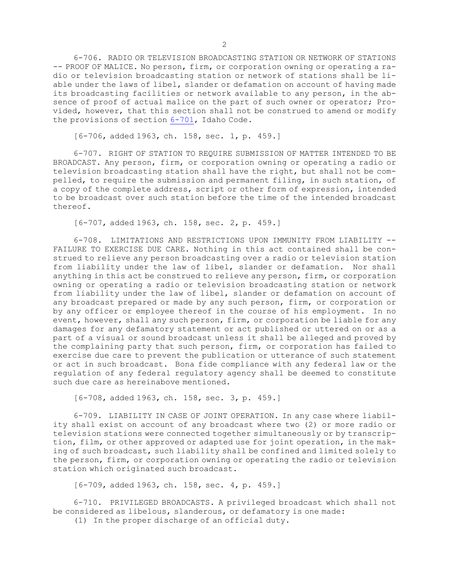6-706. RADIO OR TELEVISION BROADCASTING STATION OR NETWORK OF STATIONS -- PROOF OF MALICE. No person, firm, or corporation owning or operating <sup>a</sup> radio or television broadcasting station or network of stations shall be liable under the laws of libel, slander or defamation on account of having made its broadcasting facilities or network available to any person, in the absence of proof of actual malice on the part of such owner or operator; Provided, however, that this section shall not be construed to amend or modify the provisions of section [6-701](https://legislature.idaho.gov/statutesrules/idstat/Title6/T6CH7/SECT6-701), Idaho Code.

[6-706, added 1963, ch. 158, sec. 1, p. 459.]

6-707. RIGHT OF STATION TO REQUIRE SUBMISSION OF MATTER INTENDED TO BE BROADCAST. Any person, firm, or corporation owning or operating <sup>a</sup> radio or television broadcasting station shall have the right, but shall not be compelled, to require the submission and permanent filing, in such station, of <sup>a</sup> copy of the complete address, script or other form of expression, intended to be broadcast over such station before the time of the intended broadcast thereof.

[6-707, added 1963, ch. 158, sec. 2, p. 459.]

6-708. LIMITATIONS AND RESTRICTIONS UPON IMMUNITY FROM LIABILITY -- FAILURE TO EXERCISE DUE CARE. Nothing in this act contained shall be construed to relieve any person broadcasting over <sup>a</sup> radio or television station from liability under the law of libel, slander or defamation. Nor shall anything in this act be construed to relieve any person, firm, or corporation owning or operating <sup>a</sup> radio or television broadcasting station or network from liability under the law of libel, slander or defamation on account of any broadcast prepared or made by any such person, firm, or corporation or by any officer or employee thereof in the course of his employment. In no event, however, shall any such person, firm, or corporation be liable for any damages for any defamatory statement or act published or uttered on or as <sup>a</sup> part of <sup>a</sup> visual or sound broadcast unless it shall be alleged and proved by the complaining party that such person, firm, or corporation has failed to exercise due care to prevent the publication or utterance of such statement or act in such broadcast. Bona fide compliance with any federal law or the regulation of any federal regulatory agency shall be deemed to constitute such due care as hereinabove mentioned.

[6-708, added 1963, ch. 158, sec. 3, p. 459.]

6-709. LIABILITY IN CASE OF JOINT OPERATION. In any case where liability shall exist on account of any broadcast where two (2) or more radio or television stations were connected together simultaneously or by transcription, film, or other approved or adapted use for joint operation, in the making of such broadcast, such liability shall be confined and limited solely to the person, firm, or corporation owning or operating the radio or television station which originated such broadcast.

[6-709, added 1963, ch. 158, sec. 4, p. 459.]

6-710. PRIVILEGED BROADCASTS. <sup>A</sup> privileged broadcast which shall not be considered as libelous, slanderous, or defamatory is one made:

(1) In the proper discharge of an official duty.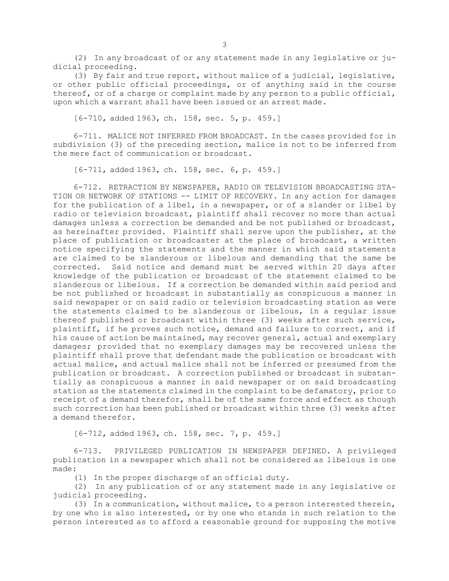(2) In any broadcast of or any statement made in any legislative or judicial proceeding.

(3) By fair and true report, without malice of <sup>a</sup> judicial, legislative, or other public official proceedings, or of anything said in the course thereof, or of <sup>a</sup> charge or complaint made by any person to <sup>a</sup> public official, upon which <sup>a</sup> warrant shall have been issued or an arrest made.

[6-710, added 1963, ch. 158, sec. 5, p. 459.]

6-711. MALICE NOT INFERRED FROM BROADCAST. In the cases provided for in subdivision (3) of the preceding section, malice is not to be inferred from the mere fact of communication or broadcast.

[6-711, added 1963, ch. 158, sec. 6, p. 459.]

6-712. RETRACTION BY NEWSPAPER, RADIO OR TELEVISION BROADCASTING STA-TION OR NETWORK OF STATIONS -- LIMIT OF RECOVERY. In any action for damages for the publication of <sup>a</sup> libel, in <sup>a</sup> newspaper, or of <sup>a</sup> slander or libel by radio or television broadcast, plaintiff shall recover no more than actual damages unless <sup>a</sup> correction be demanded and be not published or broadcast, as hereinafter provided. Plaintiff shall serve upon the publisher, at the place of publication or broadcaster at the place of broadcast, <sup>a</sup> written notice specifying the statements and the manner in which said statements are claimed to be slanderous or libelous and demanding that the same be corrected. Said notice and demand must be served within 20 days after knowledge of the publication or broadcast of the statement claimed to be slanderous or libelous. If <sup>a</sup> correction be demanded within said period and be not published or broadcast in substantially as conspicuous <sup>a</sup> manner in said newspaper or on said radio or television broadcasting station as were the statements claimed to be slanderous or libelous, in <sup>a</sup> regular issue thereof published or broadcast within three (3) weeks after such service, plaintiff, if he proves such notice, demand and failure to correct, and if his cause of action be maintained, may recover general, actual and exemplary damages; provided that no exemplary damages may be recovered unless the plaintiff shall prove that defendant made the publication or broadcast with actual malice, and actual malice shall not be inferred or presumed from the publication or broadcast. <sup>A</sup> correction published or broadcast in substantially as conspicuous <sup>a</sup> manner in said newspaper or on said broadcasting station as the statements claimed in the complaint to be defamatory, prior to receipt of <sup>a</sup> demand therefor, shall be of the same force and effect as though such correction has been published or broadcast within three (3) weeks after a demand therefor.

[6-712, added 1963, ch. 158, sec. 7, p. 459.]

6-713. PRIVILEGED PUBLICATION IN NEWSPAPER DEFINED. <sup>A</sup> privileged publication in <sup>a</sup> newspaper which shall not be considered as libelous is one made:

(1) In the proper discharge of an official duty.

(2) In any publication of or any statement made in any legislative or judicial proceeding.

(3) In <sup>a</sup> communication, without malice, to <sup>a</sup> person interested therein, by one who is also interested, or by one who stands in such relation to the person interested as to afford <sup>a</sup> reasonable ground for supposing the motive